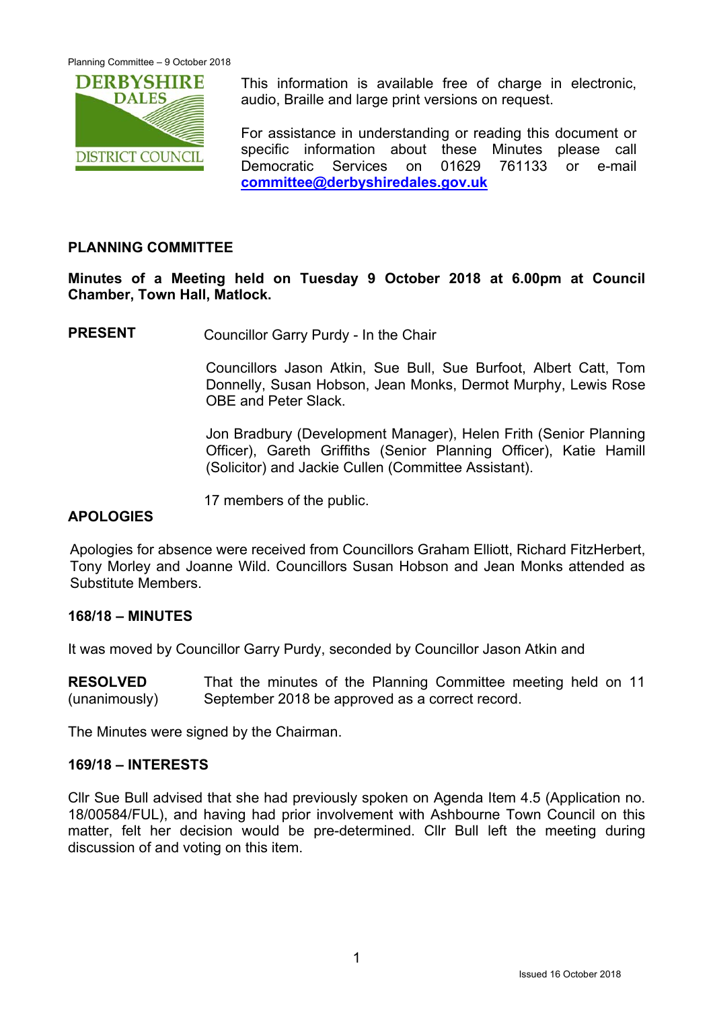

This information is available free of charge in electronic. audio, Braille and large print versions on request.

For assistance in understanding or reading this document or specific information about these Minutes please call Democratic Services on 01629 761133 or e-mail **committee@derbyshiredales.gov.uk**

## **PLANNING COMMITTEE**

**Minutes of a Meeting held on Tuesday 9 October 2018 at 6.00pm at Council Chamber, Town Hall, Matlock.** 

**PRESENT** Councillor Garry Purdy - In the Chair

 Councillors Jason Atkin, Sue Bull, Sue Burfoot, Albert Catt, Tom Donnelly, Susan Hobson, Jean Monks, Dermot Murphy, Lewis Rose OBE and Peter Slack.

Jon Bradbury (Development Manager), Helen Frith (Senior Planning Officer), Gareth Griffiths (Senior Planning Officer), Katie Hamill (Solicitor) and Jackie Cullen (Committee Assistant).

17 members of the public.

### **APOLOGIES**

Apologies for absence were received from Councillors Graham Elliott, Richard FitzHerbert, Tony Morley and Joanne Wild. Councillors Susan Hobson and Jean Monks attended as Substitute Members.

#### **168/18 – MINUTES**

It was moved by Councillor Garry Purdy, seconded by Councillor Jason Atkin and

**RESOLVED**  (unanimously) That the minutes of the Planning Committee meeting held on 11 September 2018 be approved as a correct record.

The Minutes were signed by the Chairman.

#### **169/18 – INTERESTS**

Cllr Sue Bull advised that she had previously spoken on Agenda Item 4.5 (Application no. 18/00584/FUL), and having had prior involvement with Ashbourne Town Council on this matter, felt her decision would be pre-determined. Cllr Bull left the meeting during discussion of and voting on this item.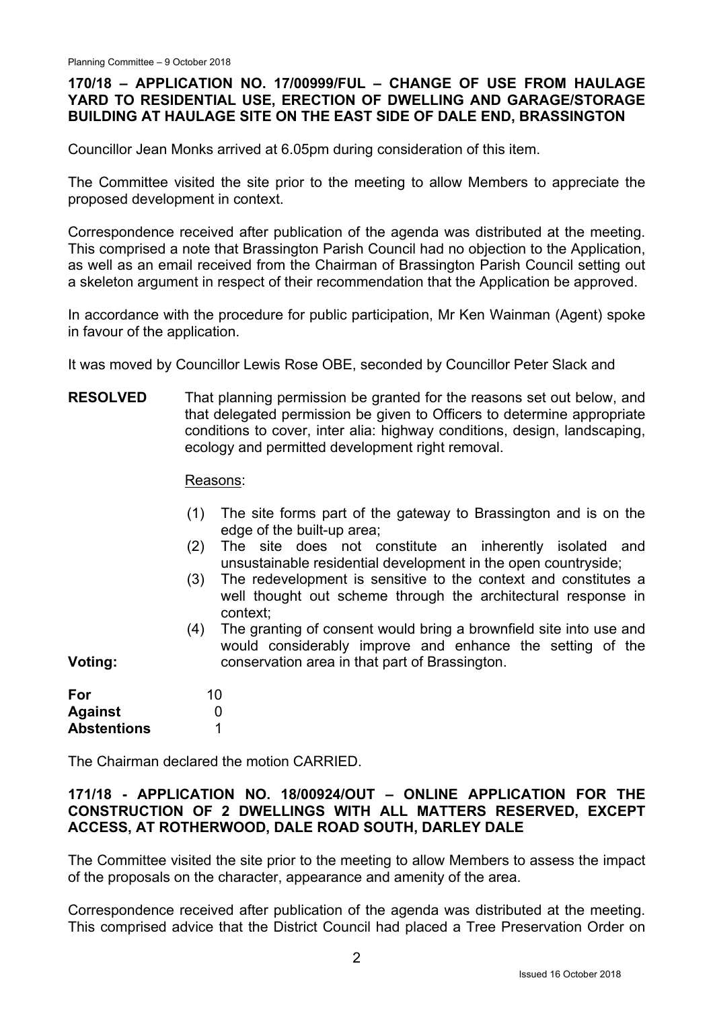# **170/18 – APPLICATION NO. 17/00999/FUL – CHANGE OF USE FROM HAULAGE YARD TO RESIDENTIAL USE, ERECTION OF DWELLING AND GARAGE/STORAGE BUILDING AT HAULAGE SITE ON THE EAST SIDE OF DALE END, BRASSINGTON**

Councillor Jean Monks arrived at 6.05pm during consideration of this item.

The Committee visited the site prior to the meeting to allow Members to appreciate the proposed development in context.

Correspondence received after publication of the agenda was distributed at the meeting. This comprised a note that Brassington Parish Council had no objection to the Application, as well as an email received from the Chairman of Brassington Parish Council setting out a skeleton argument in respect of their recommendation that the Application be approved.

In accordance with the procedure for public participation, Mr Ken Wainman (Agent) spoke in favour of the application.

It was moved by Councillor Lewis Rose OBE, seconded by Councillor Peter Slack and

**RESOLVED**  That planning permission be granted for the reasons set out below, and that delegated permission be given to Officers to determine appropriate conditions to cover, inter alia: highway conditions, design, landscaping, ecology and permitted development right removal.

Reasons:

- (1) The site forms part of the gateway to Brassington and is on the edge of the built-up area;
- (2) The site does not constitute an inherently isolated and unsustainable residential development in the open countryside;
- (3) The redevelopment is sensitive to the context and constitutes a well thought out scheme through the architectural response in context;
- (4) The granting of consent would bring a brownfield site into use and would considerably improve and enhance the setting of the conservation area in that part of Brassington.

**Voting:** 

| For                | 10 |
|--------------------|----|
| <b>Against</b>     | O  |
| <b>Abstentions</b> |    |

The Chairman declared the motion CARRIED.

# **171/18 - APPLICATION NO. 18/00924/OUT – ONLINE APPLICATION FOR THE CONSTRUCTION OF 2 DWELLINGS WITH ALL MATTERS RESERVED, EXCEPT ACCESS, AT ROTHERWOOD, DALE ROAD SOUTH, DARLEY DALE**

The Committee visited the site prior to the meeting to allow Members to assess the impact of the proposals on the character, appearance and amenity of the area.

Correspondence received after publication of the agenda was distributed at the meeting. This comprised advice that the District Council had placed a Tree Preservation Order on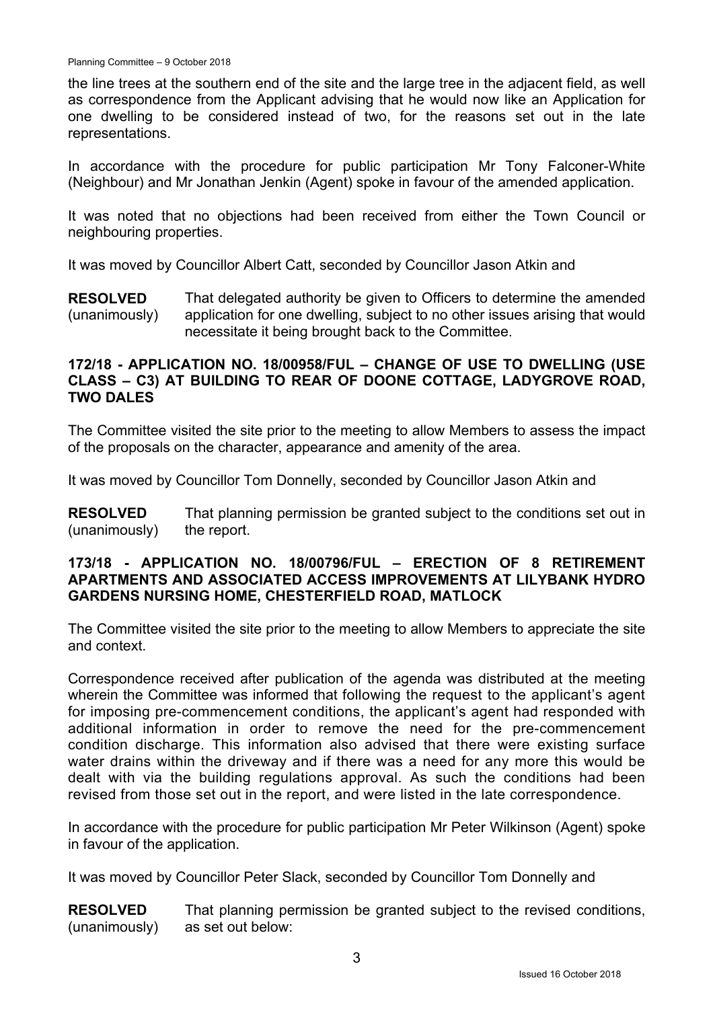the line trees at the southern end of the site and the large tree in the adjacent field, as well as correspondence from the Applicant advising that he would now like an Application for one dwelling to be considered instead of two, for the reasons set out in the late representations.

In accordance with the procedure for public participation Mr Tony Falconer-White (Neighbour) and Mr Jonathan Jenkin (Agent) spoke in favour of the amended application.

It was noted that no objections had been received from either the Town Council or neighbouring properties.

It was moved by Councillor Albert Catt, seconded by Councillor Jason Atkin and

**RESOLVED**  (unanimously) That delegated authority be given to Officers to determine the amended application for one dwelling, subject to no other issues arising that would necessitate it being brought back to the Committee.

#### **172/18 - APPLICATION NO. 18/00958/FUL – CHANGE OF USE TO DWELLING (USE CLASS – C3) AT BUILDING TO REAR OF DOONE COTTAGE, LADYGROVE ROAD, TWO DALES**

The Committee visited the site prior to the meeting to allow Members to assess the impact of the proposals on the character, appearance and amenity of the area.

It was moved by Councillor Tom Donnelly, seconded by Councillor Jason Atkin and

**RESOLVED**  (unanimously) That planning permission be granted subject to the conditions set out in the report.

### **173/18 - APPLICATION NO. 18/00796/FUL – ERECTION OF 8 RETIREMENT APARTMENTS AND ASSOCIATED ACCESS IMPROVEMENTS AT LILYBANK HYDRO GARDENS NURSING HOME, CHESTERFIELD ROAD, MATLOCK**

The Committee visited the site prior to the meeting to allow Members to appreciate the site and context.

Correspondence received after publication of the agenda was distributed at the meeting wherein the Committee was informed that following the request to the applicant's agent for imposing pre-commencement conditions, the applicant's agent had responded with additional information in order to remove the need for the pre-commencement condition discharge. This information also advised that there were existing surface water drains within the driveway and if there was a need for any more this would be dealt with via the building regulations approval. As such the conditions had been revised from those set out in the report, and were listed in the late correspondence.

In accordance with the procedure for public participation Mr Peter Wilkinson (Agent) spoke in favour of the application.

It was moved by Councillor Peter Slack, seconded by Councillor Tom Donnelly and

**RESOLVED**  (unanimously) That planning permission be granted subject to the revised conditions, as set out below: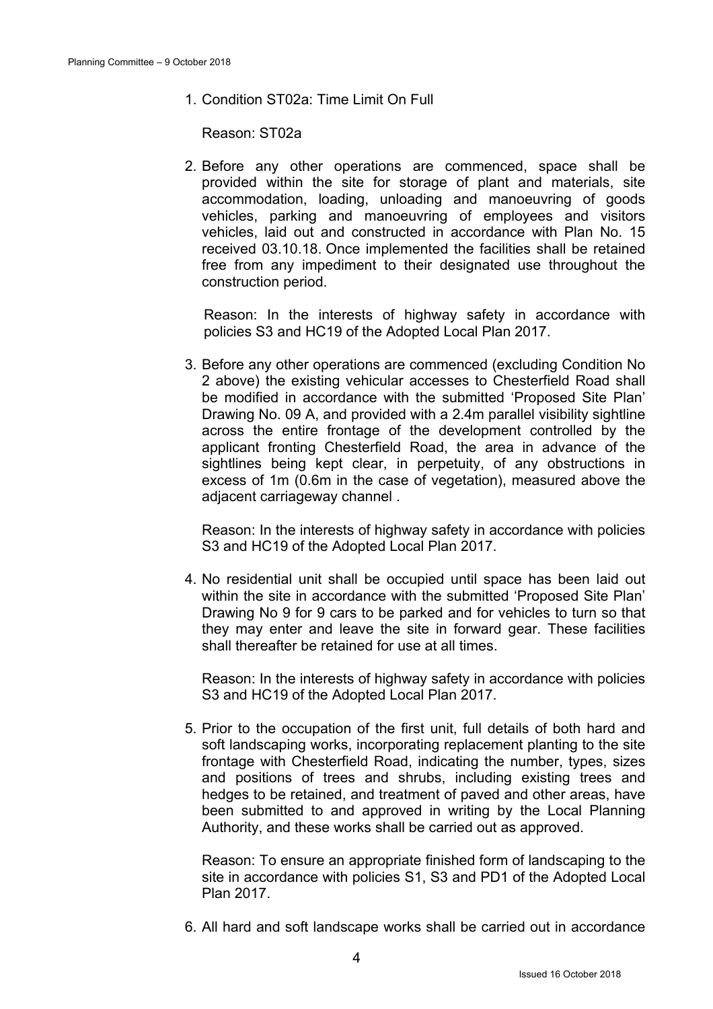1. Condition ST02a: Time Limit On Full

Reason: ST02a

2. Before any other operations are commenced, space shall be provided within the site for storage of plant and materials, site accommodation, loading, unloading and manoeuvring of goods vehicles, parking and manoeuvring of employees and visitors vehicles, laid out and constructed in accordance with Plan No. 15 received 03.10.18. Once implemented the facilities shall be retained free from any impediment to their designated use throughout the construction period.

Reason: In the interests of highway safety in accordance with policies S3 and HC19 of the Adopted Local Plan 2017.

3. Before any other operations are commenced (excluding Condition No 2 above) the existing vehicular accesses to Chesterfield Road shall be modified in accordance with the submitted 'Proposed Site Plan' Drawing No. 09 A, and provided with a 2.4m parallel visibility sightline across the entire frontage of the development controlled by the applicant fronting Chesterfield Road, the area in advance of the sightlines being kept clear, in perpetuity, of any obstructions in excess of 1m (0.6m in the case of vegetation), measured above the adiacent carriageway channel.

Reason: In the interests of highway safety in accordance with policies S3 and HC19 of the Adopted Local Plan 2017.

4. No residential unit shall be occupied until space has been laid out within the site in accordance with the submitted 'Proposed Site Plan' Drawing No 9 for 9 cars to be parked and for vehicles to turn so that they may enter and leave the site in forward gear. These facilities shall thereafter be retained for use at all times.

Reason: In the interests of highway safety in accordance with policies S3 and HC19 of the Adopted Local Plan 2017.

5. Prior to the occupation of the first unit, full details of both hard and soft landscaping works, incorporating replacement planting to the site frontage with Chesterfield Road, indicating the number, types, sizes and positions of trees and shrubs, including existing trees and hedges to be retained, and treatment of paved and other areas, have been submitted to and approved in writing by the Local Planning Authority, and these works shall be carried out as approved.

Reason: To ensure an appropriate finished form of landscaping to the site in accordance with policies S1, S3 and PD1 of the Adopted Local Plan 2017.

6. All hard and soft landscape works shall be carried out in accordance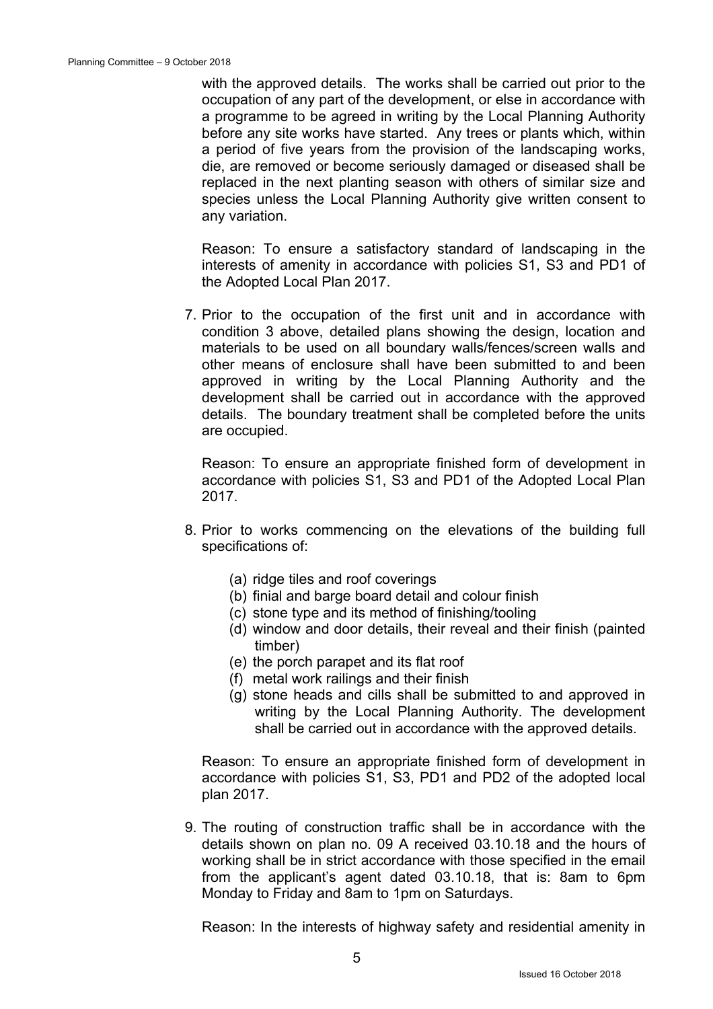with the approved details. The works shall be carried out prior to the occupation of any part of the development, or else in accordance with a programme to be agreed in writing by the Local Planning Authority before any site works have started. Any trees or plants which, within a period of five years from the provision of the landscaping works, die, are removed or become seriously damaged or diseased shall be replaced in the next planting season with others of similar size and species unless the Local Planning Authority give written consent to any variation.

Reason: To ensure a satisfactory standard of landscaping in the interests of amenity in accordance with policies S1, S3 and PD1 of the Adopted Local Plan 2017.

7. Prior to the occupation of the first unit and in accordance with condition 3 above, detailed plans showing the design, location and materials to be used on all boundary walls/fences/screen walls and other means of enclosure shall have been submitted to and been approved in writing by the Local Planning Authority and the development shall be carried out in accordance with the approved details. The boundary treatment shall be completed before the units are occupied.

Reason: To ensure an appropriate finished form of development in accordance with policies S1, S3 and PD1 of the Adopted Local Plan 2017.

- 8. Prior to works commencing on the elevations of the building full specifications of:
	- (a) ridge tiles and roof coverings
	- (b) finial and barge board detail and colour finish
	- (c) stone type and its method of finishing/tooling
	- (d) window and door details, their reveal and their finish (painted timber)
	- (e) the porch parapet and its flat roof
	- (f) metal work railings and their finish
	- (g) stone heads and cills shall be submitted to and approved in writing by the Local Planning Authority. The development shall be carried out in accordance with the approved details.

 Reason: To ensure an appropriate finished form of development in accordance with policies S1, S3, PD1 and PD2 of the adopted local plan 2017.

9. The routing of construction traffic shall be in accordance with the details shown on plan no. 09 A received 03.10.18 and the hours of working shall be in strict accordance with those specified in the email from the applicant's agent dated 03.10.18, that is: 8am to 6pm Monday to Friday and 8am to 1pm on Saturdays.

Reason: In the interests of highway safety and residential amenity in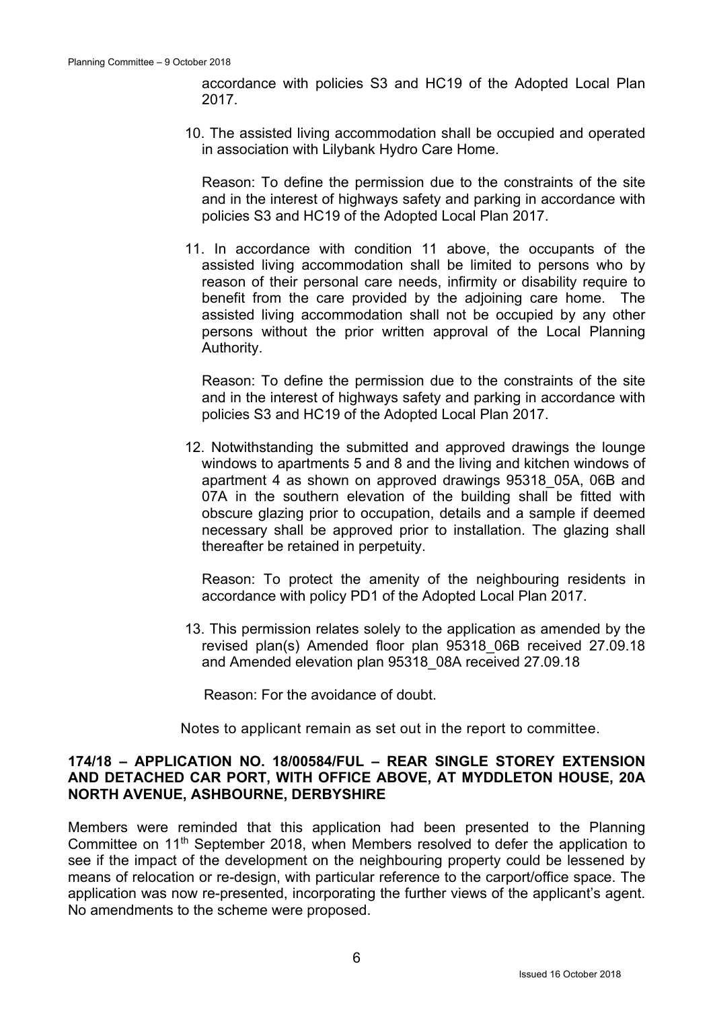accordance with policies S3 and HC19 of the Adopted Local Plan 2017.

10. The assisted living accommodation shall be occupied and operated in association with Lilybank Hydro Care Home.

Reason: To define the permission due to the constraints of the site and in the interest of highways safety and parking in accordance with policies S3 and HC19 of the Adopted Local Plan 2017.

11. In accordance with condition 11 above, the occupants of the assisted living accommodation shall be limited to persons who by reason of their personal care needs, infirmity or disability require to benefit from the care provided by the adjoining care home. The assisted living accommodation shall not be occupied by any other persons without the prior written approval of the Local Planning Authority.

 Reason: To define the permission due to the constraints of the site and in the interest of highways safety and parking in accordance with policies S3 and HC19 of the Adopted Local Plan 2017.

12. Notwithstanding the submitted and approved drawings the lounge windows to apartments 5 and 8 and the living and kitchen windows of apartment 4 as shown on approved drawings 95318\_05A, 06B and 07A in the southern elevation of the building shall be fitted with obscure glazing prior to occupation, details and a sample if deemed necessary shall be approved prior to installation. The glazing shall thereafter be retained in perpetuity.

 Reason: To protect the amenity of the neighbouring residents in accordance with policy PD1 of the Adopted Local Plan 2017.

13. This permission relates solely to the application as amended by the revised plan(s) Amended floor plan 95318\_06B received 27.09.18 and Amended elevation plan 95318\_08A received 27.09.18

Reason: For the avoidance of doubt.

Notes to applicant remain as set out in the report to committee.

### **174/18 – APPLICATION NO. 18/00584/FUL – REAR SINGLE STOREY EXTENSION AND DETACHED CAR PORT, WITH OFFICE ABOVE, AT MYDDLETON HOUSE, 20A NORTH AVENUE, ASHBOURNE, DERBYSHIRE**

Members were reminded that this application had been presented to the Planning Committee on 11<sup>th</sup> September 2018, when Members resolved to defer the application to see if the impact of the development on the neighbouring property could be lessened by means of relocation or re-design, with particular reference to the carport/office space. The application was now re-presented, incorporating the further views of the applicant's agent. No amendments to the scheme were proposed.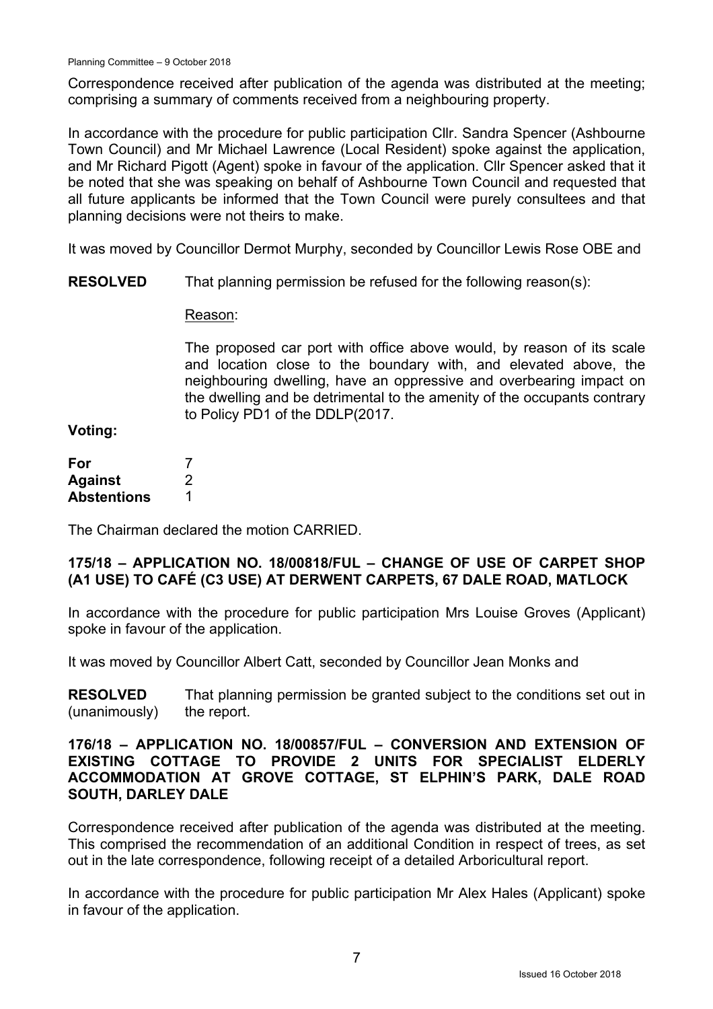Correspondence received after publication of the agenda was distributed at the meeting; comprising a summary of comments received from a neighbouring property.

In accordance with the procedure for public participation Cllr. Sandra Spencer (Ashbourne Town Council) and Mr Michael Lawrence (Local Resident) spoke against the application, and Mr Richard Pigott (Agent) spoke in favour of the application. Cllr Spencer asked that it be noted that she was speaking on behalf of Ashbourne Town Council and requested that all future applicants be informed that the Town Council were purely consultees and that planning decisions were not theirs to make.

It was moved by Councillor Dermot Murphy, seconded by Councillor Lewis Rose OBE and

**RESOLVED**  That planning permission be refused for the following reason(s):

### Reason:

The proposed car port with office above would, by reason of its scale and location close to the boundary with, and elevated above, the neighbouring dwelling, have an oppressive and overbearing impact on the dwelling and be detrimental to the amenity of the occupants contrary to Policy PD1 of the DDLP(2017.

# **Voting:**

| For                |   |
|--------------------|---|
| <b>Against</b>     | 2 |
| <b>Abstentions</b> |   |

The Chairman declared the motion CARRIED.

# **175/18 – APPLICATION NO. 18/00818/FUL – CHANGE OF USE OF CARPET SHOP (A1 USE) TO CAFÉ (C3 USE) AT DERWENT CARPETS, 67 DALE ROAD, MATLOCK**

In accordance with the procedure for public participation Mrs Louise Groves (Applicant) spoke in favour of the application.

It was moved by Councillor Albert Catt, seconded by Councillor Jean Monks and

**RESOLVED**  (unanimously) That planning permission be granted subject to the conditions set out in the report.

### **176/18 – APPLICATION NO. 18/00857/FUL – CONVERSION AND EXTENSION OF EXISTING COTTAGE TO PROVIDE 2 UNITS FOR SPECIALIST ELDERLY ACCOMMODATION AT GROVE COTTAGE, ST ELPHIN'S PARK, DALE ROAD SOUTH, DARLEY DALE**

Correspondence received after publication of the agenda was distributed at the meeting. This comprised the recommendation of an additional Condition in respect of trees, as set out in the late correspondence, following receipt of a detailed Arboricultural report.

In accordance with the procedure for public participation Mr Alex Hales (Applicant) spoke in favour of the application.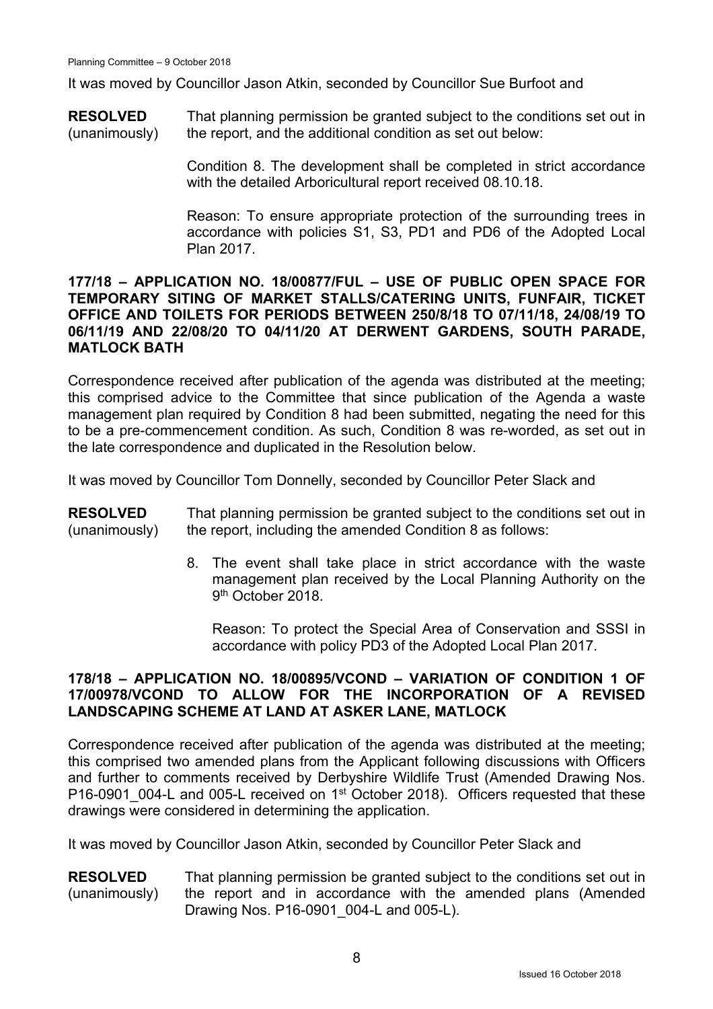It was moved by Councillor Jason Atkin, seconded by Councillor Sue Burfoot and

**RESOLVED**  (unanimously) That planning permission be granted subject to the conditions set out in the report, and the additional condition as set out below:

> Condition 8. The development shall be completed in strict accordance with the detailed Arboricultural report received 08.10.18.

> Reason: To ensure appropriate protection of the surrounding trees in accordance with policies S1, S3, PD1 and PD6 of the Adopted Local Plan 2017.

#### **177/18 – APPLICATION NO. 18/00877/FUL – USE OF PUBLIC OPEN SPACE FOR TEMPORARY SITING OF MARKET STALLS/CATERING UNITS, FUNFAIR, TICKET OFFICE AND TOILETS FOR PERIODS BETWEEN 250/8/18 TO 07/11/18, 24/08/19 TO 06/11/19 AND 22/08/20 TO 04/11/20 AT DERWENT GARDENS, SOUTH PARADE, MATLOCK BATH**

Correspondence received after publication of the agenda was distributed at the meeting; this comprised advice to the Committee that since publication of the Agenda a waste management plan required by Condition 8 had been submitted, negating the need for this to be a pre-commencement condition. As such, Condition 8 was re-worded, as set out in the late correspondence and duplicated in the Resolution below.

It was moved by Councillor Tom Donnelly, seconded by Councillor Peter Slack and

**RESOLVED**  (unanimously) That planning permission be granted subject to the conditions set out in the report, including the amended Condition 8 as follows:

> 8. The event shall take place in strict accordance with the waste management plan received by the Local Planning Authority on the 9<sup>th</sup> October 2018.

Reason: To protect the Special Area of Conservation and SSSI in accordance with policy PD3 of the Adopted Local Plan 2017.

# **178/18 – APPLICATION NO. 18/00895/VCOND – VARIATION OF CONDITION 1 OF 17/00978/VCOND TO ALLOW FOR THE INCORPORATION OF A REVISED LANDSCAPING SCHEME AT LAND AT ASKER LANE, MATLOCK**

Correspondence received after publication of the agenda was distributed at the meeting; this comprised two amended plans from the Applicant following discussions with Officers and further to comments received by Derbyshire Wildlife Trust (Amended Drawing Nos. P16-0901 004-L and 005-L received on 1<sup>st</sup> October 2018). Officers requested that these drawings were considered in determining the application.

It was moved by Councillor Jason Atkin, seconded by Councillor Peter Slack and

**RESOLVED**  (unanimously) That planning permission be granted subject to the conditions set out in the report and in accordance with the amended plans (Amended Drawing Nos. P16-0901\_004-L and 005-L).